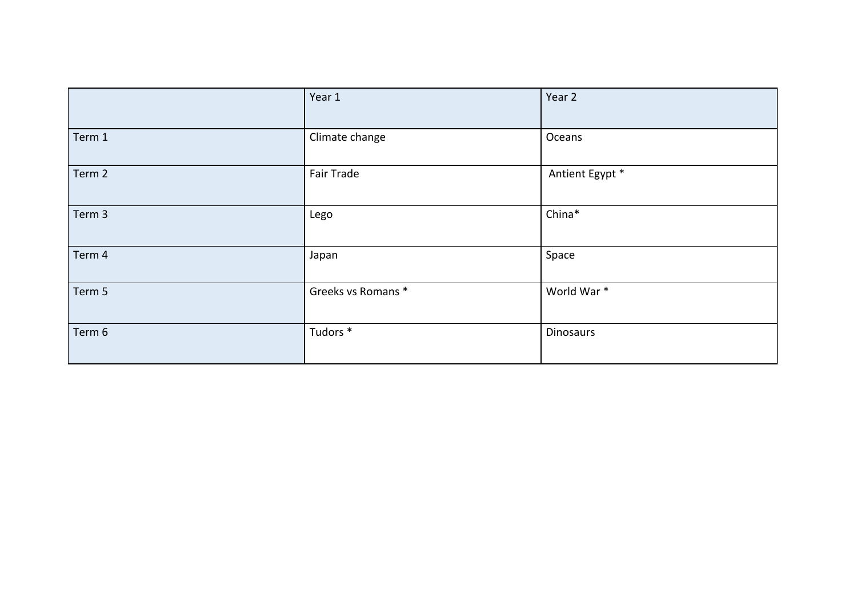|        | Year 1             | Year 2          |
|--------|--------------------|-----------------|
| Term 1 | Climate change     | Oceans          |
| Term 2 | Fair Trade         | Antient Egypt * |
| Term 3 | Lego               | China*          |
| Term 4 | Japan              | Space           |
| Term 5 | Greeks vs Romans * | World War*      |
| Term 6 | Tudors *           | Dinosaurs       |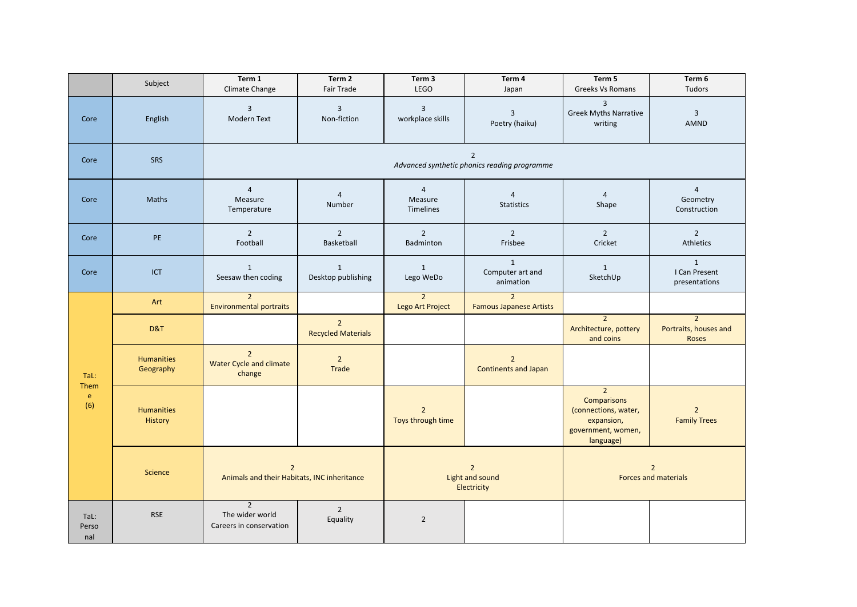|                                     | Subject                        | Term 1<br>Climate Change                                      | Term 2<br>Fair Trade                                           | Term 3<br><b>LEGO</b>                            | Term 4<br>Japan                                  | Term 5<br><b>Greeks Vs Romans</b>                                                                             | Term 6<br>Tudors                                        |  |  |
|-------------------------------------|--------------------------------|---------------------------------------------------------------|----------------------------------------------------------------|--------------------------------------------------|--------------------------------------------------|---------------------------------------------------------------------------------------------------------------|---------------------------------------------------------|--|--|
| Core                                | English                        | $\mathbf{3}$<br>Modern Text                                   | $\overline{3}$<br>Non-fiction                                  | $\overline{3}$<br>workplace skills               | $\overline{\mathbf{3}}$<br>Poetry (haiku)        | $\overline{3}$<br><b>Greek Myths Narrative</b><br>writing                                                     | $\mathbf{3}$<br>AMND                                    |  |  |
| Core                                | <b>SRS</b>                     |                                                               | $\overline{2}$<br>Advanced synthetic phonics reading programme |                                                  |                                                  |                                                                                                               |                                                         |  |  |
| Core                                | <b>Maths</b>                   | $\overline{4}$<br>Measure<br>Temperature                      | $\overline{4}$<br>Number                                       | $\overline{4}$<br>Measure<br>Timelines           | $\overline{4}$<br>Statistics                     | $\overline{4}$<br>Shape                                                                                       | $\overline{4}$<br>Geometry<br>Construction              |  |  |
| Core                                | PE                             | $\overline{2}$<br>Football                                    | $\overline{2}$<br>Basketball                                   | $\overline{2}$<br>Badminton                      | $2^{\circ}$<br>Frisbee                           | $\overline{2}$<br>Cricket                                                                                     | $\overline{2}$<br>Athletics                             |  |  |
| Core                                | <b>ICT</b>                     | $\mathbf{1}$<br>Seesaw then coding                            | 1<br>Desktop publishing                                        | $\mathbf{1}$<br>Lego WeDo                        | $\mathbf{1}$<br>Computer art and<br>animation    | $\mathbf{1}$<br>SketchUp                                                                                      | $\mathbf{1}$<br>I Can Present<br>presentations          |  |  |
|                                     | Art                            | $\overline{2}$<br><b>Environmental portraits</b>              |                                                                | $\overline{2}$<br>Lego Art Project               | $\overline{2}$<br><b>Famous Japanese Artists</b> |                                                                                                               |                                                         |  |  |
| TaL:<br>Them<br>$\mathbf{e}$<br>(6) | D&T                            |                                                               | $\overline{2}$<br><b>Recycled Materials</b>                    |                                                  |                                                  | $\overline{2}$<br>Architecture, pottery<br>and coins                                                          | $\overline{2}$<br>Portraits, houses and<br><b>Roses</b> |  |  |
|                                     | <b>Humanities</b><br>Geography | $\overline{2}$<br>Water Cycle and climate<br>change           | $\overline{2}$<br>Trade                                        |                                                  | $2^{\circ}$<br><b>Continents and Japan</b>       |                                                                                                               |                                                         |  |  |
|                                     | <b>Humanities</b><br>History   |                                                               |                                                                | $\overline{2}$<br>Toys through time              |                                                  | $\overline{2}$<br><b>Comparisons</b><br>(connections, water,<br>expansion,<br>government, women,<br>language) | $\overline{2}$<br><b>Family Trees</b>                   |  |  |
|                                     | Science                        | $\overline{2}$<br>Animals and their Habitats, INC inheritance |                                                                | $\overline{2}$<br>Light and sound<br>Electricity |                                                  | $\overline{2}$<br>Forces and materials                                                                        |                                                         |  |  |
| TaL:<br>Perso<br>nal                | <b>RSE</b>                     | $\overline{2}$<br>The wider world<br>Careers in conservation  | $\overline{2}$<br>Equality                                     | $\overline{2}$                                   |                                                  |                                                                                                               |                                                         |  |  |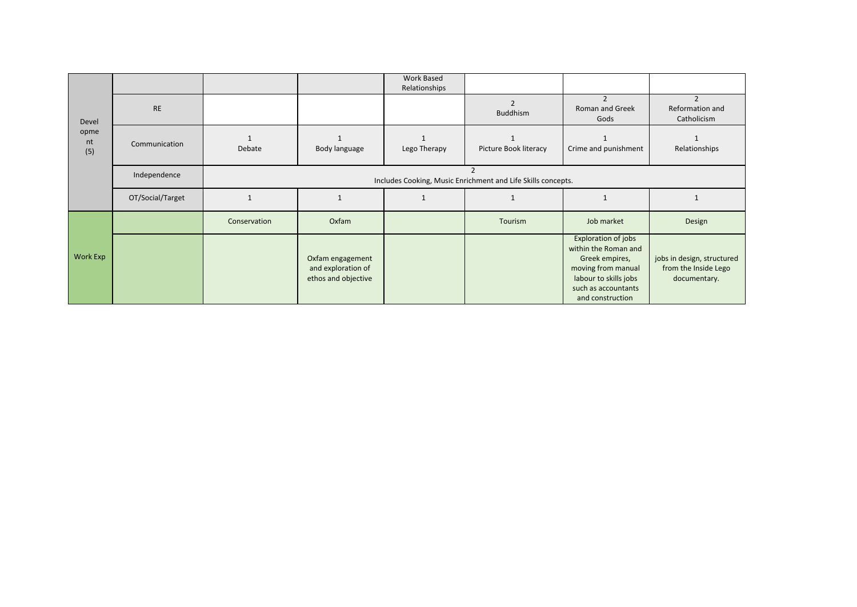|                            |                  |                                                              |                                                               | <b>Work Based</b><br>Relationships |                       |                                                                                                                                                                |                                                                    |  |  |
|----------------------------|------------------|--------------------------------------------------------------|---------------------------------------------------------------|------------------------------------|-----------------------|----------------------------------------------------------------------------------------------------------------------------------------------------------------|--------------------------------------------------------------------|--|--|
| Devel<br>opme<br>nt<br>(5) | <b>RE</b>        |                                                              |                                                               |                                    | Buddhism              | $\overline{2}$<br>Roman and Greek<br>Gods                                                                                                                      | $\mathcal{P}$<br>Reformation and<br>Catholicism                    |  |  |
|                            | Communication    | Debate                                                       | Body language                                                 | Lego Therapy                       | Picture Book literacy | Crime and punishment                                                                                                                                           | Relationships                                                      |  |  |
|                            | Independence     | Includes Cooking, Music Enrichment and Life Skills concepts. |                                                               |                                    |                       |                                                                                                                                                                |                                                                    |  |  |
|                            | OT/Social/Target |                                                              |                                                               |                                    |                       |                                                                                                                                                                |                                                                    |  |  |
| Work Exp                   |                  | Conservation                                                 | Oxfam                                                         |                                    | Tourism               | Job market                                                                                                                                                     | Design                                                             |  |  |
|                            |                  |                                                              | Oxfam engagement<br>and exploration of<br>ethos and objective |                                    |                       | <b>Exploration of jobs</b><br>within the Roman and<br>Greek empires,<br>moving from manual<br>labour to skills jobs<br>such as accountants<br>and construction | jobs in design, structured<br>from the Inside Lego<br>documentary. |  |  |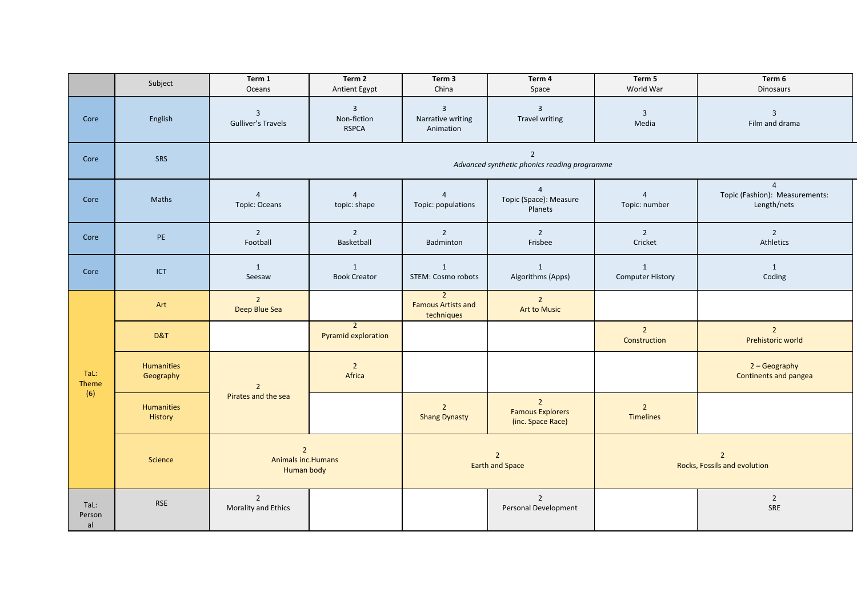|                      | Subject                        | Term 1<br>Oceans                                               | Term 2<br>Antient Egypt                       | Term 3<br>China                                           | Term 4<br>Space                                             | Term 5<br>World War                            | Term 6<br><b>Dinosaurs</b>                                      |
|----------------------|--------------------------------|----------------------------------------------------------------|-----------------------------------------------|-----------------------------------------------------------|-------------------------------------------------------------|------------------------------------------------|-----------------------------------------------------------------|
| Core                 | English                        | $\mathbf{3}$<br><b>Gulliver's Travels</b>                      | $\overline{3}$<br>Non-fiction<br><b>RSPCA</b> | $\overline{3}$<br>Narrative writing<br>Animation          | $\overline{3}$<br>Travel writing                            | $\overline{3}$<br>Media                        | $\overline{3}$<br>Film and drama                                |
| Core                 | SRS                            | $\overline{2}$<br>Advanced synthetic phonics reading programme |                                               |                                                           |                                                             |                                                |                                                                 |
| Core                 | Maths                          | $\overline{4}$<br>Topic: Oceans                                | $\overline{4}$<br>topic: shape                | $\overline{4}$<br>Topic: populations                      | $\overline{4}$<br>Topic (Space): Measure<br>Planets         | $\overline{4}$<br>Topic: number                | $\overline{4}$<br>Topic (Fashion): Measurements:<br>Length/nets |
| Core                 | PE                             | $\overline{2}$<br>Football                                     | $2^{\circ}$<br>Basketball                     | $\overline{2}$<br>Badminton                               | $\overline{2}$<br>Frisbee                                   | $\overline{2}$<br>Cricket                      | $\overline{2}$<br>Athletics                                     |
| Core                 | ICT                            | 1<br>Seesaw                                                    | $\mathbf{1}$<br><b>Book Creator</b>           | $\mathbf{1}$<br><b>STEM: Cosmo robots</b>                 | $\mathbf{1}$<br>Algorithms (Apps)                           | $\mathbf{1}$<br><b>Computer History</b>        | $\mathbf{1}$<br>Coding                                          |
| TaL:<br>Theme<br>(6) | Art                            | $\overline{2}$<br>Deep Blue Sea                                |                                               | $\overline{2}$<br><b>Famous Artists and</b><br>techniques | $\overline{2}$<br><b>Art to Music</b>                       |                                                |                                                                 |
|                      | D&T                            |                                                                | $\overline{2}$<br>Pyramid exploration         |                                                           |                                                             | $\overline{2}$<br>Construction                 | $\overline{2}$<br>Prehistoric world                             |
|                      | <b>Humanities</b><br>Geography | $\overline{2}$                                                 | $\overline{2}$<br>Africa                      |                                                           |                                                             |                                                | 2 - Geography<br><b>Continents and pangea</b>                   |
|                      | <b>Humanities</b><br>History   | Pirates and the sea                                            |                                               | $\overline{2}$<br><b>Shang Dynasty</b>                    | $2^{\circ}$<br><b>Famous Explorers</b><br>(inc. Space Race) | $\overline{2}$<br><b>Timelines</b>             |                                                                 |
|                      | Science                        | $\overline{2}$<br>Animals inc. Humans<br>Human body            |                                               | $\overline{2}$<br><b>Earth and Space</b>                  |                                                             | $\overline{2}$<br>Rocks, Fossils and evolution |                                                                 |
| TaL:<br>Person<br>al | <b>RSE</b>                     | $\overline{2}$<br>Morality and Ethics                          |                                               |                                                           | $\overline{2}$<br>Personal Development                      |                                                | $\overline{2}$<br>SRE                                           |